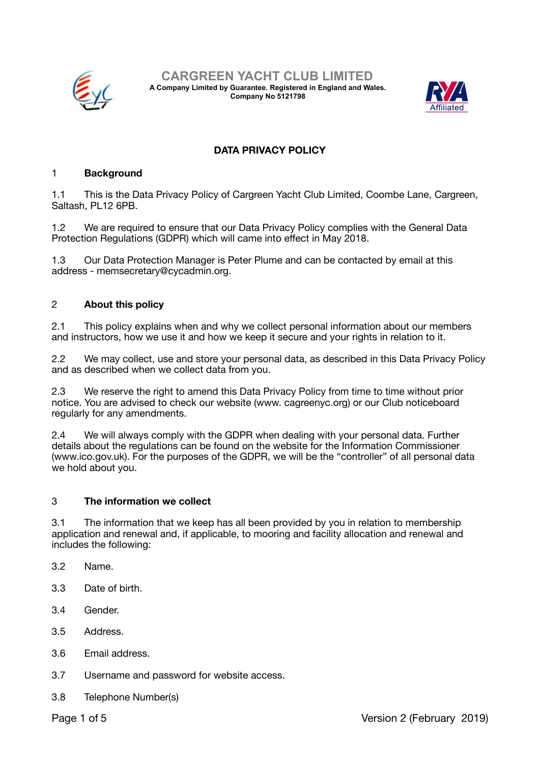

**CARGREEN YACHT CLUB LIMITED A Company Limited by Guarantee. Registered in England and Wales. Company No 5121798** 



# **DATA PRIVACY POLICY**

### 1 **Background**

1.1 This is the Data Privacy Policy of Cargreen Yacht Club Limited, Coombe Lane, Cargreen, Saltash, PL12 6PB.

1.2 We are required to ensure that our Data Privacy Policy complies with the General Data Protection Regulations (GDPR) which will came into effect in May 2018.

1.3 Our Data Protection Manager is Peter Plume and can be contacted by email at this address - memsecretary@cycadmin.org.

### 2 **About this policy**

2.1 This policy explains when and why we collect personal information about our members and instructors, how we use it and how we keep it secure and your rights in relation to it.

2.2 We may collect, use and store your personal data, as described in this Data Privacy Policy and as described when we collect data from you.

2.3 We reserve the right to amend this Data Privacy Policy from time to time without prior notice. You are advised to check our website (www. cagreenyc.org) or our Club noticeboard regularly for any amendments.

2.4 We will always comply with the GDPR when dealing with your personal data. Further details about the regulations can be found on the website for the Information Commissioner (www.ico.gov.uk). For the purposes of the GDPR, we will be the "controller" of all personal data we hold about you.

#### 3 **The information we collect**

3.1 The information that we keep has all been provided by you in relation to membership application and renewal and, if applicable, to mooring and facility allocation and renewal and includes the following:

- 3.2 Name.
- 3.3 Date of birth.
- 3.4 Gender.
- 3.5 Address.
- 3.6 Email address.
- 3.7 Username and password for website access.
- 3.8 Telephone Number(s)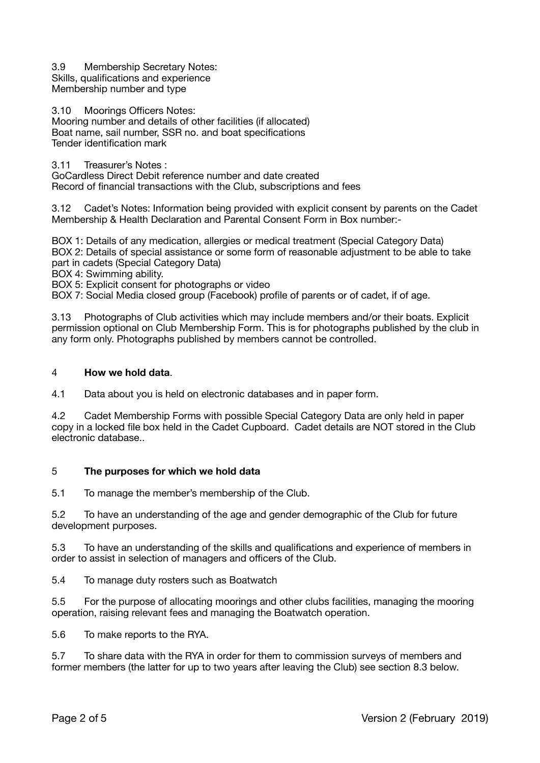3.9 Membership Secretary Notes: Skills, qualifications and experience Membership number and type

3.10 Moorings Officers Notes: Mooring number and details of other facilities (if allocated) Boat name, sail number, SSR no. and boat specifications Tender identification mark

3.11 Treasurer's Notes :

GoCardless Direct Debit reference number and date created Record of financial transactions with the Club, subscriptions and fees

3.12 Cadet's Notes: Information being provided with explicit consent by parents on the Cadet Membership & Health Declaration and Parental Consent Form in Box number:-

BOX 1: Details of any medication, allergies or medical treatment (Special Category Data) BOX 2: Details of special assistance or some form of reasonable adjustment to be able to take part in cadets (Special Category Data)

BOX 4: Swimming ability.

BOX 5: Explicit consent for photographs or video

BOX 7: Social Media closed group (Facebook) profile of parents or of cadet, if of age.

3.13 Photographs of Club activities which may include members and/or their boats. Explicit permission optional on Club Membership Form. This is for photographs published by the club in any form only. Photographs published by members cannot be controlled.

### 4 **How we hold data**.

4.1 Data about you is held on electronic databases and in paper form.

4.2 Cadet Membership Forms with possible Special Category Data are only held in paper copy in a locked file box held in the Cadet Cupboard. Cadet details are NOT stored in the Club electronic database..

### 5 **The purposes for which we hold data**

5.1 To manage the member's membership of the Club.

5.2 To have an understanding of the age and gender demographic of the Club for future development purposes.

5.3 To have an understanding of the skills and qualifications and experience of members in order to assist in selection of managers and officers of the Club.

5.4 To manage duty rosters such as Boatwatch

5.5 For the purpose of allocating moorings and other clubs facilities, managing the mooring operation, raising relevant fees and managing the Boatwatch operation.

5.6 To make reports to the RYA.

5.7 To share data with the RYA in order for them to commission surveys of members and former members (the latter for up to two years after leaving the Club) see section 8.3 below.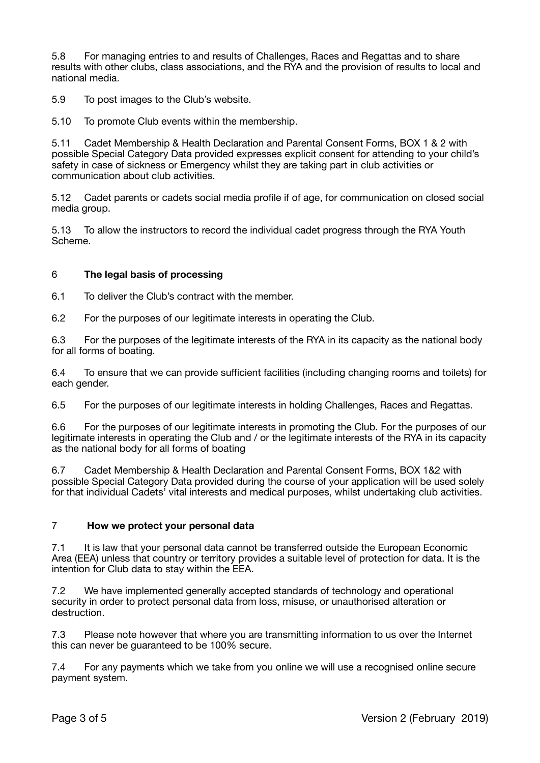5.8 For managing entries to and results of Challenges, Races and Regattas and to share results with other clubs, class associations, and the RYA and the provision of results to local and national media.

5.9 To post images to the Club's website.

5.10 To promote Club events within the membership.

5.11 Cadet Membership & Health Declaration and Parental Consent Forms, BOX 1 & 2 with possible Special Category Data provided expresses explicit consent for attending to your child's safety in case of sickness or Emergency whilst they are taking part in club activities or communication about club activities.

5.12 Cadet parents or cadets social media profile if of age, for communication on closed social media group.

5.13 To allow the instructors to record the individual cadet progress through the RYA Youth Scheme.

### 6 **The legal basis of processing**

6.1 To deliver the Club's contract with the member.

6.2 For the purposes of our legitimate interests in operating the Club.

6.3 For the purposes of the legitimate interests of the RYA in its capacity as the national body for all forms of boating.

6.4 To ensure that we can provide sufficient facilities (including changing rooms and toilets) for each gender.

6.5 For the purposes of our legitimate interests in holding Challenges, Races and Regattas.

6.6 For the purposes of our legitimate interests in promoting the Club. For the purposes of our legitimate interests in operating the Club and / or the legitimate interests of the RYA in its capacity as the national body for all forms of boating

6.7 Cadet Membership & Health Declaration and Parental Consent Forms, BOX 1&2 with possible Special Category Data provided during the course of your application will be used solely for that individual Cadets' vital interests and medical purposes, whilst undertaking club activities.

### 7 **How we protect your personal data**

7.1 It is law that your personal data cannot be transferred outside the European Economic Area (EEA) unless that country or territory provides a suitable level of protection for data. It is the intention for Club data to stay within the EEA.

7.2 We have implemented generally accepted standards of technology and operational security in order to protect personal data from loss, misuse, or unauthorised alteration or destruction.

7.3 Please note however that where you are transmitting information to us over the Internet this can never be guaranteed to be 100% secure.

7.4 For any payments which we take from you online we will use a recognised online secure payment system.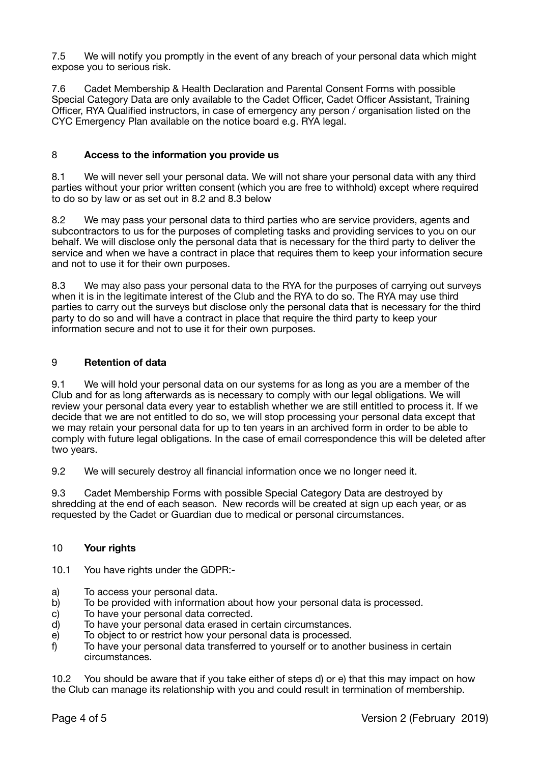7.5 We will notify you promptly in the event of any breach of your personal data which might expose you to serious risk.

7.6 Cadet Membership & Health Declaration and Parental Consent Forms with possible Special Category Data are only available to the Cadet Officer, Cadet Officer Assistant, Training Officer, RYA Qualified instructors, in case of emergency any person / organisation listed on the CYC Emergency Plan available on the notice board e.g. RYA legal.

# 8 **Access to the information you provide us**

8.1 We will never sell your personal data. We will not share your personal data with any third parties without your prior written consent (which you are free to withhold) except where required to do so by law or as set out in 8.2 and 8.3 below

8.2 We may pass your personal data to third parties who are service providers, agents and subcontractors to us for the purposes of completing tasks and providing services to you on our behalf. We will disclose only the personal data that is necessary for the third party to deliver the service and when we have a contract in place that requires them to keep your information secure and not to use it for their own purposes.

8.3 We may also pass your personal data to the RYA for the purposes of carrying out surveys when it is in the legitimate interest of the Club and the RYA to do so. The RYA may use third parties to carry out the surveys but disclose only the personal data that is necessary for the third party to do so and will have a contract in place that require the third party to keep your information secure and not to use it for their own purposes.

# 9 **Retention of data**

9.1 We will hold your personal data on our systems for as long as you are a member of the Club and for as long afterwards as is necessary to comply with our legal obligations. We will review your personal data every year to establish whether we are still entitled to process it. If we decide that we are not entitled to do so, we will stop processing your personal data except that we may retain your personal data for up to ten years in an archived form in order to be able to comply with future legal obligations. In the case of email correspondence this will be deleted after two years.

9.2 We will securely destroy all financial information once we no longer need it.

9.3 Cadet Membership Forms with possible Special Category Data are destroyed by shredding at the end of each season. New records will be created at sign up each year, or as requested by the Cadet or Guardian due to medical or personal circumstances.

### 10 **Your rights**

10.1 You have rights under the GDPR:-

- a) To access your personal data.
- b) To be provided with information about how your personal data is processed.
- c) To have your personal data corrected.
- d) To have your personal data erased in certain circumstances.
- e) To object to or restrict how your personal data is processed.
- f) To have your personal data transferred to yourself or to another business in certain circumstances.

10.2 You should be aware that if you take either of steps d) or e) that this may impact on how the Club can manage its relationship with you and could result in termination of membership.